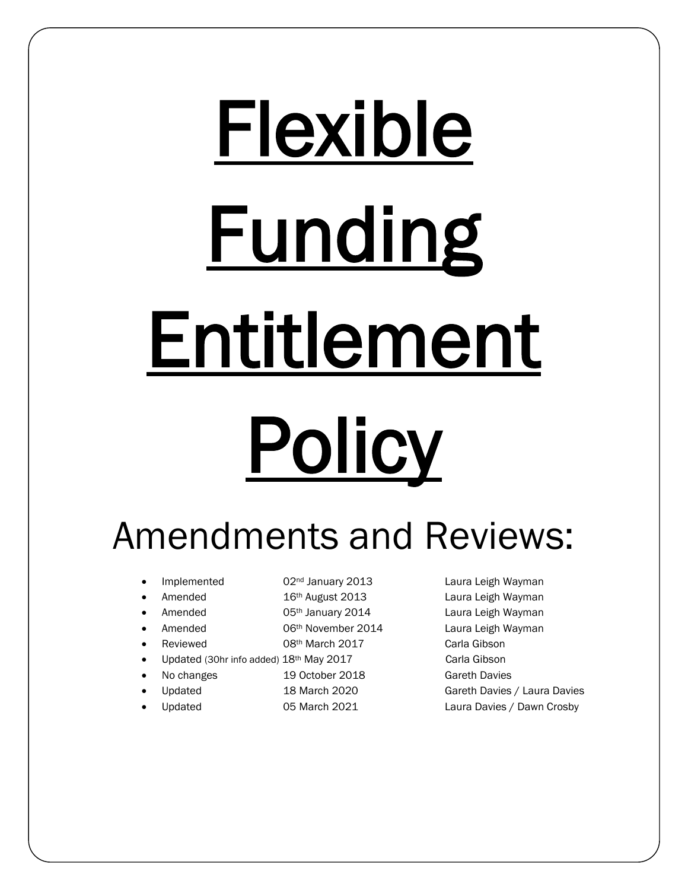# Flexible **Funding** Entitlement **Policy**

Amendments and Reviews:

- 
- 
- 
- 
- 
- Updated (30hr info added)  $18<sup>th</sup>$  May 2017 Carla Gibson
- 
- 
- 
- 
- Amended **16th August 2013** Laura Leigh Wayman
- Amended **65<sup>th</sup> January 2014** Laura Leigh Wayman
- Amended **600 O6th November 2014** Laura Leigh Wayman
- Reviewed 08th March 2017 Carla Gibson
	-
- - No changes 19 October 2018 Gareth Davies
	- Updated 18 March 2020 Gareth Davies / Laura Davies
	- Updated **1976** O5 March 2021 Laura Davies / Dawn Crosby

Implemented **62nd January 2013** Laura Leigh Wayman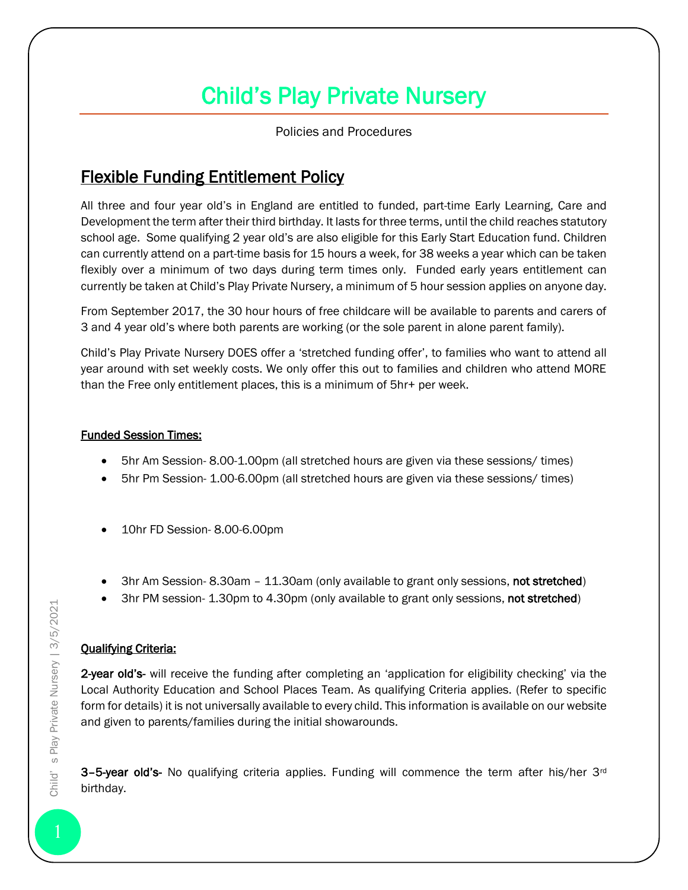## Child's Play Private Nursery

Policies and Procedures

### Flexible Funding Entitlement Policy

All three and four year old's in England are entitled to funded, part-time Early Learning, Care and Development the term after their third birthday. It lasts for three terms, until the child reaches statutory school age. Some qualifying 2 year old's are also eligible for this Early Start Education fund. Children can currently attend on a part-time basis for 15 hours a week, for 38 weeks a year which can be taken flexibly over a minimum of two days during term times only. Funded early years entitlement can currently be taken at Child's Play Private Nursery, a minimum of 5 hour session applies on anyone day.

From September 2017, the 30 hour hours of free childcare will be available to parents and carers of 3 and 4 year old's where both parents are working (or the sole parent in alone parent family).

Child's Play Private Nursery DOES offer a 'stretched funding offer', to families who want to attend all year around with set weekly costs. We only offer this out to families and children who attend MORE than the Free only entitlement places, this is a minimum of 5hr+ per week.

#### Funded Session Times:

- 5hr Am Session- 8.00-1.00pm (all stretched hours are given via these sessions/ times)
- 5hr Pm Session- 1.00-6.00pm (all stretched hours are given via these sessions/ times)
- 10hr FD Session- 8.00-6.00pm
- 3hr Am Session- 8.30am 11.30am (only available to grant only sessions, not stretched)
- 3hr PM session- 1.30pm to 4.30pm (only available to grant only sessions, not stretched)

#### Qualifying Criteria:

2-year old's- will receive the funding after completing an 'application for eligibility checking' via the Local Authority Education and School Places Team. As qualifying Criteria applies. (Refer to specific form for details) it is not universally available to every child. This information is available on our website and given to parents/families during the initial showarounds.

**3-5-year old's-** No qualifying criteria applies. Funding will commence the term after his/her  $3<sup>rd</sup>$ birthday.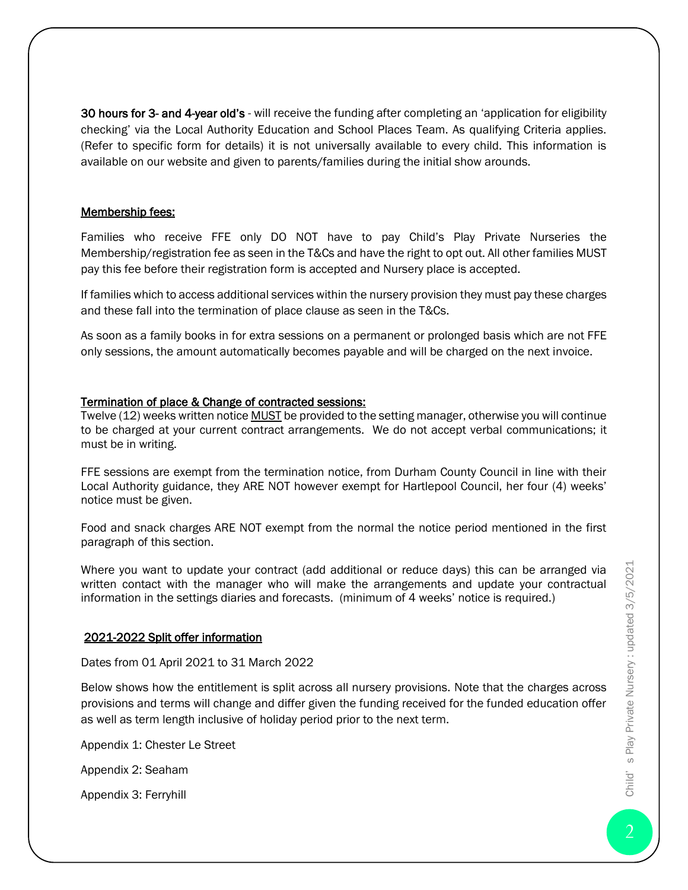30 hours for 3- and 4-year old's - will receive the funding after completing an 'application for eligibility checking' via the Local Authority Education and School Places Team. As qualifying Criteria applies. (Refer to specific form for details) it is not universally available to every child. This information is available on our website and given to parents/families during the initial show arounds.

#### Membership fees:

Families who receive FFE only DO NOT have to pay Child's Play Private Nurseries the Membership/registration fee as seen in the T&Cs and have the right to opt out. All other families MUST pay this fee before their registration form is accepted and Nursery place is accepted.

If families which to access additional services within the nursery provision they must pay these charges and these fall into the termination of place clause as seen in the T&Cs.

As soon as a family books in for extra sessions on a permanent or prolonged basis which are not FFE only sessions, the amount automatically becomes payable and will be charged on the next invoice.

#### Termination of place & Change of contracted sessions:

Twelve (12) weeks written notice MUST be provided to the setting manager, otherwise you will continue to be charged at your current contract arrangements. We do not accept verbal communications; it must be in writing.

FFE sessions are exempt from the termination notice, from Durham County Council in line with their Local Authority guidance, they ARE NOT however exempt for Hartlepool Council, her four (4) weeks' notice must be given.

Food and snack charges ARE NOT exempt from the normal the notice period mentioned in the first paragraph of this section.

Where you want to update your contract (add additional or reduce days) this can be arranged via written contact with the manager who will make the arrangements and update your contractual information in the settings diaries and forecasts. (minimum of 4 weeks' notice is required.)

#### 2021-2022 Split offer information

Dates from 01 April 2021 to 31 March 2022

Below shows how the entitlement is split across all nursery provisions. Note that the charges across provisions and terms will change and differ given the funding received for the funded education offer as well as term length inclusive of holiday period prior to the next term.

Appendix 1: Chester Le Street

Appendix 2: Seaham

Appendix 3: Ferryhill